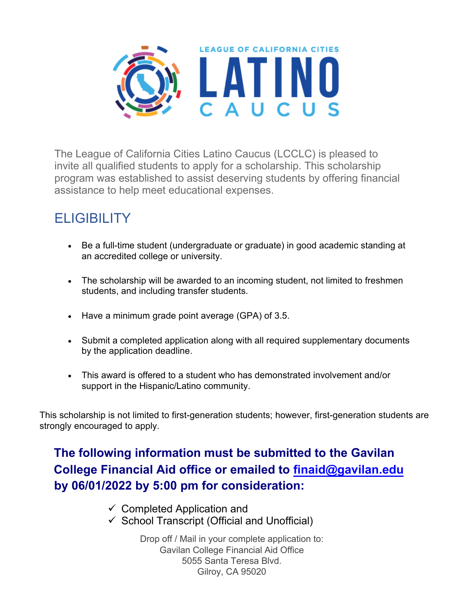

The League of California Cities Latino Caucus (LCCLC) is pleased to invite all qualified students to apply for a scholarship. This scholarship program was established to assist deserving students by offering financial assistance to help meet educational expenses.

# **ELIGIBILITY**

- Be a full-time student (undergraduate or graduate) in good academic standing at an accredited college or university.
- The scholarship will be awarded to an incoming student, not limited to freshmen students, and including transfer students.
- Have a minimum grade point average (GPA) of 3.5.
- Submit a completed application along with all required supplementary documents by the application deadline.
- This award is offered to a student who has demonstrated involvement and/or support in the Hispanic/Latino community.

This scholarship is not limited to first-generation students; however, first-generation students are strongly encouraged to apply.

### **The following information must be submitted to the Gavilan College Financial Aid office or emailed to [finaid@gavilan.edu](mailto:finaid@gavilan.edu) by 06/01/2022 by 5:00 pm for consideration:**

- $\checkmark$  Completed Application and
- $\checkmark$  School Transcript (Official and Unofficial)

Drop off / Mail in your complete application to: Gavilan College Financial Aid Office 5055 Santa Teresa Blvd. Gilroy, CA 95020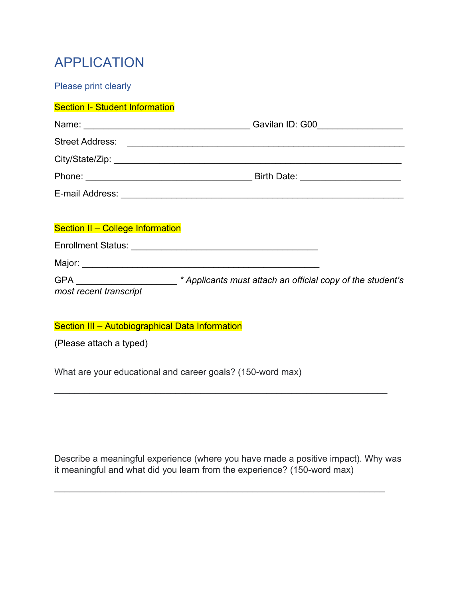## APPLICATION

Please print clearly

#### **Section I- Student Information**

| Section II - College Information |                                                                                       |
|----------------------------------|---------------------------------------------------------------------------------------|
|                                  |                                                                                       |
|                                  |                                                                                       |
| most recent transcript           | GPA _______________________* Applicants must attach an official copy of the student's |

#### Section III - Autobiographical Data Information

(Please attach a typed)

What are your educational and career goals? (150-word max)

Describe a meaningful experience (where you have made a positive impact). Why was it meaningful and what did you learn from the experience? (150-word max)

\_\_\_\_\_\_\_\_\_\_\_\_\_\_\_\_\_\_\_\_\_\_\_\_\_\_\_\_\_\_\_\_\_\_\_\_\_\_\_\_\_\_\_\_\_\_\_\_\_\_\_\_\_\_\_\_\_\_\_\_\_\_\_\_\_

\_\_\_\_\_\_\_\_\_\_\_\_\_\_\_\_\_\_\_\_\_\_\_\_\_\_\_\_\_\_\_\_\_\_\_\_\_\_\_\_\_\_\_\_\_\_\_\_\_\_\_\_\_\_\_\_\_\_\_\_\_\_\_\_\_\_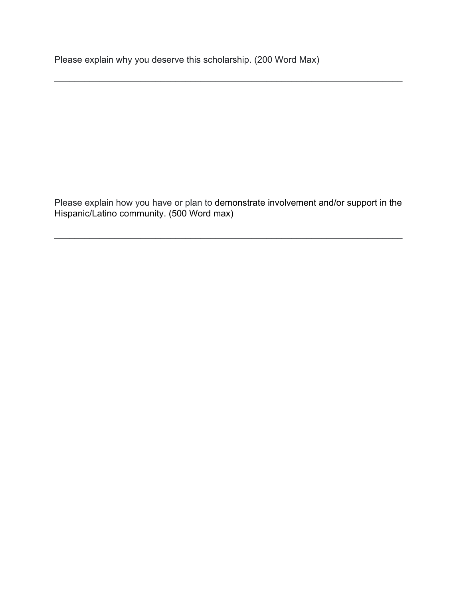Please explain why you deserve this scholarship. (200 Word Max)

Please explain how you have or plan to demonstrate involvement and/or support in the Hispanic/Latino community. (500 Word max)

\_\_\_\_\_\_\_\_\_\_\_\_\_\_\_\_\_\_\_\_\_\_\_\_\_\_\_\_\_\_\_\_\_\_\_\_\_\_\_\_\_\_\_\_\_\_\_\_\_\_\_\_\_\_\_\_\_\_\_\_\_\_\_\_\_\_\_\_\_

\_\_\_\_\_\_\_\_\_\_\_\_\_\_\_\_\_\_\_\_\_\_\_\_\_\_\_\_\_\_\_\_\_\_\_\_\_\_\_\_\_\_\_\_\_\_\_\_\_\_\_\_\_\_\_\_\_\_\_\_\_\_\_\_\_\_\_\_\_